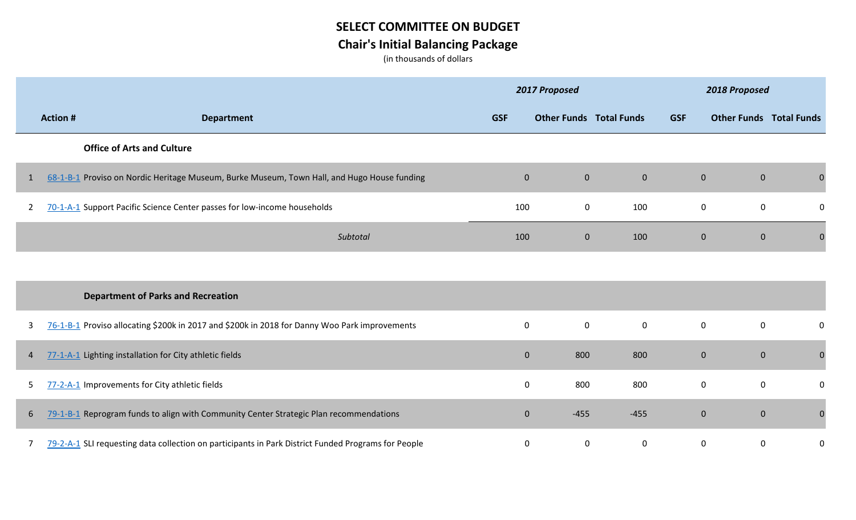## **SELECT COMMITTEE ON BUDGET Chair's Initial Balancing Package**

(in thousands of dollars

|              |                 |                                                                                                     |                  | 2017 Proposed                  |                  |                  | 2018 Proposed                  |                  |
|--------------|-----------------|-----------------------------------------------------------------------------------------------------|------------------|--------------------------------|------------------|------------------|--------------------------------|------------------|
|              | <b>Action #</b> | <b>Department</b>                                                                                   | <b>GSF</b>       | <b>Other Funds Total Funds</b> |                  | <b>GSF</b>       | <b>Other Funds Total Funds</b> |                  |
|              |                 | <b>Office of Arts and Culture</b>                                                                   |                  |                                |                  |                  |                                |                  |
|              |                 | 68-1-B-1 Proviso on Nordic Heritage Museum, Burke Museum, Town Hall, and Hugo House funding         | $\mathbf 0$      | $\pmb{0}$                      | $\mathbf{0}$     | $\boldsymbol{0}$ | $\mathbf{0}$                   | $\mathbf{0}$     |
| $\mathbf{2}$ |                 | 70-1-A-1 Support Pacific Science Center passes for low-income households                            | 100              | $\pmb{0}$                      | 100              | $\pmb{0}$        | $\mathbf 0$                    | 0                |
|              |                 | Subtotal                                                                                            | 100              | $\mathbf 0$                    | 100              | $\mathbf 0$      | $\mathbf{0}$                   | $\Omega$         |
|              |                 |                                                                                                     |                  |                                |                  |                  |                                |                  |
|              |                 | <b>Department of Parks and Recreation</b>                                                           |                  |                                |                  |                  |                                |                  |
| 3            |                 | 76-1-B-1 Proviso allocating \$200k in 2017 and \$200k in 2018 for Danny Woo Park improvements       | $\mathbf 0$      | $\pmb{0}$                      | $\mathbf 0$      | $\boldsymbol{0}$ | $\mathbf 0$                    | 0                |
| 4            |                 | 77-1-A-1 Lighting installation for City athletic fields                                             | $\boldsymbol{0}$ | 800                            | 800              | $\mathbf{0}$     | $\mathbf{0}$                   | $\boldsymbol{0}$ |
| 5            |                 | 77-2-A-1 Improvements for City athletic fields                                                      | 0                | 800                            | 800              | $\mathbf 0$      | $\mathbf 0$                    | $\mathbf 0$      |
| 6            |                 | 79-1-B-1 Reprogram funds to align with Community Center Strategic Plan recommendations              | $\mathbf{0}$     | $-455$                         | $-455$           | $\mathbf{0}$     | $\mathbf{0}$                   | $\boldsymbol{0}$ |
| 7            |                 | 79-2-A-1 SLI requesting data collection on participants in Park District Funded Programs for People | 0                | $\boldsymbol{0}$               | $\boldsymbol{0}$ | $\mathbf 0$      | $\mathbf 0$                    | 0                |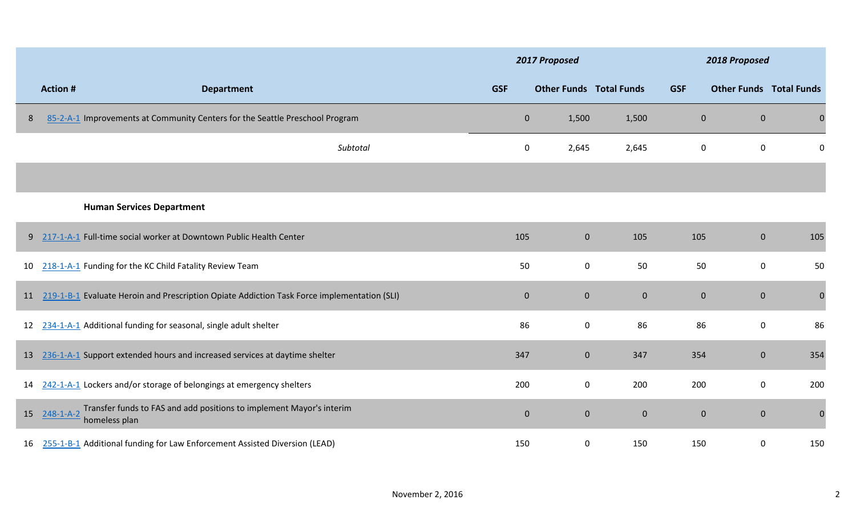|    |                                                                                                            |              | 2017 Proposed                  |                | 2018 Proposed    |                                |              |
|----|------------------------------------------------------------------------------------------------------------|--------------|--------------------------------|----------------|------------------|--------------------------------|--------------|
|    | <b>Action #</b><br><b>Department</b>                                                                       | <b>GSF</b>   | <b>Other Funds Total Funds</b> |                | <b>GSF</b>       | <b>Other Funds Total Funds</b> |              |
| 8  | 85-2-A-1 Improvements at Community Centers for the Seattle Preschool Program                               | $\mathbf 0$  | 1,500                          | 1,500          | $\mathbf{0}$     | $\mathbf{0}$                   | $\mathbf 0$  |
|    | Subtotal                                                                                                   | 0            | 2,645                          | 2,645          | $\mathbf 0$      | $\mathbf 0$                    | 0            |
|    |                                                                                                            |              |                                |                |                  |                                |              |
|    | <b>Human Services Department</b>                                                                           |              |                                |                |                  |                                |              |
|    | 9 217-1-A-1 Full-time social worker at Downtown Public Health Center                                       | 105          | $\mathbf 0$                    | 105            | 105              | $\mathbf{0}$                   | 105          |
| 10 | 218-1-A-1 Funding for the KC Child Fatality Review Team                                                    | 50           | $\mathbf 0$                    | 50             | 50               | $\mathbf 0$                    | 50           |
|    | 11 219-1-B-1 Evaluate Heroin and Prescription Opiate Addiction Task Force implementation (SLI)             | $\mathbf{0}$ | $\mathbf 0$                    | $\overline{0}$ | $\boldsymbol{0}$ | $\mathbf{0}$                   | $\mathbf 0$  |
|    | 12 234-1-A-1 Additional funding for seasonal, single adult shelter                                         | 86           | $\mathbf 0$                    | 86             | 86               | $\mathbf 0$                    | 86           |
|    | 13 236-1-A-1 Support extended hours and increased services at daytime shelter                              | 347          | $\mathbf 0$                    | 347            | 354              | $\boldsymbol{0}$               | 354          |
|    | 14 242-1-A-1 Lockers and/or storage of belongings at emergency shelters                                    | 200          | $\mathbf 0$                    | 200            | 200              | $\mathbf 0$                    | 200          |
| 15 | Transfer funds to FAS and add positions to implement Mayor's interim<br>$248 - 1 - A - 2$<br>homeless plan | $\mathbf 0$  | $\mathbf 0$                    | $\mathbf{0}$   | $\mathbf 0$      | $\mathbf{0}$                   | $\mathbf{0}$ |
| 16 | 255-1-B-1 Additional funding for Law Enforcement Assisted Diversion (LEAD)                                 | 150          | 0                              | 150            | 150              | 0                              | 150          |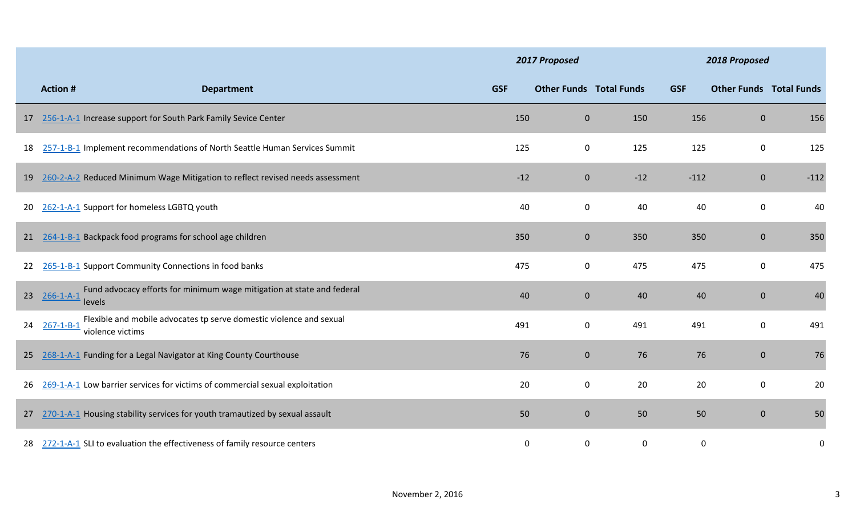|    |                                                                                 |                                                                               |            | 2017 Proposed                  |             |            | 2018 Proposed                  |             |
|----|---------------------------------------------------------------------------------|-------------------------------------------------------------------------------|------------|--------------------------------|-------------|------------|--------------------------------|-------------|
|    | <b>Action #</b>                                                                 | <b>Department</b>                                                             | <b>GSF</b> | <b>Other Funds Total Funds</b> |             | <b>GSF</b> | <b>Other Funds Total Funds</b> |             |
|    | 17 256-1-A-1 Increase support for South Park Family Sevice Center               |                                                                               | 150        | $\boldsymbol{0}$               | 150         | 156        | $\mathbf{0}$                   | 156         |
| 18 |                                                                                 | 257-1-B-1 Implement recommendations of North Seattle Human Services Summit    | 125        | $\mathbf 0$                    | 125         | 125        | $\mathbf 0$                    | 125         |
| 19 |                                                                                 | 260-2-A-2 Reduced Minimum Wage Mitigation to reflect revised needs assessment | $-12$      | $\mathbf 0$                    | $-12$       | $-112$     | $\mathbf{0}$                   | $-112$      |
| 20 | 262-1-A-1 Support for homeless LGBTQ youth                                      |                                                                               | 40         | 0                              | 40          | 40         | $\mathbf 0$                    | 40          |
|    | 21 264-1-B-1 Backpack food programs for school age children                     |                                                                               | 350        | $\boldsymbol{0}$               | 350         | 350        | $\mathbf{0}$                   | 350         |
| 22 | 265-1-B-1 Support Community Connections in food banks                           |                                                                               | 475        | $\mathbf 0$                    | 475         | 475        | $\mathbf 0$                    | 475         |
| 23 | $266 - 1 - A - 1$<br>levels                                                     | Fund advocacy efforts for minimum wage mitigation at state and federal        | 40         | $\boldsymbol{0}$               | 40          | 40         | $\mathbf{0}$                   | 40          |
| 24 | $267 - 1 - B - 1$<br>violence victims                                           | Flexible and mobile advocates tp serve domestic violence and sexual           | 491        | $\pmb{0}$                      | 491         | 491        | $\mathbf 0$                    | 491         |
|    | 25 268-1-A-1 Funding for a Legal Navigator at King County Courthouse            |                                                                               | 76         | $\pmb{0}$                      | 76          | 76         | $\mathbf{0}$                   | 76          |
| 26 | 269-1-A-1 Low barrier services for victims of commercial sexual exploitation    |                                                                               | 20         | $\mathbf 0$                    | 20          | 20         | $\mathbf 0$                    | 20          |
|    | 27 270-1-A-1 Housing stability services for youth tramautized by sexual assault |                                                                               | 50         | $\boldsymbol{0}$               | 50          | 50         | $\mathbf{0}$                   | 50          |
| 28 | 272-1-A-1 SLI to evaluation the effectiveness of family resource centers        |                                                                               | 0          | $\pmb{0}$                      | $\mathbf 0$ | 0          |                                | $\mathbf 0$ |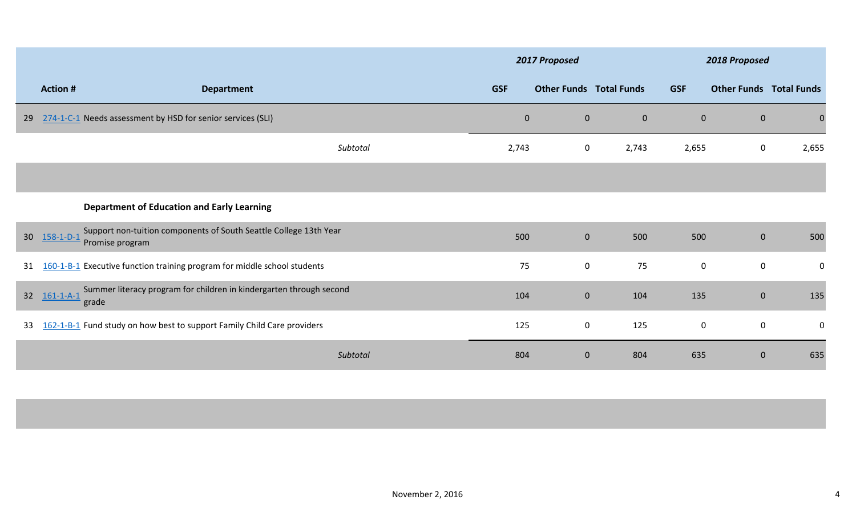|                 |                                                                                                           | 2017 Proposed |                                |                | 2018 Proposed |                                |             |  |
|-----------------|-----------------------------------------------------------------------------------------------------------|---------------|--------------------------------|----------------|---------------|--------------------------------|-------------|--|
|                 | <b>Action #</b><br><b>Department</b>                                                                      | <b>GSF</b>    | <b>Other Funds Total Funds</b> |                | <b>GSF</b>    | <b>Other Funds Total Funds</b> |             |  |
| 29              | 274-1-C-1 Needs assessment by HSD for senior services (SLI)                                               | $\pmb{0}$     | $\mathbf{0}$                   | $\overline{0}$ | $\mathbf{0}$  | $\mathbf{0}$                   |             |  |
|                 | Subtotal                                                                                                  | 2,743         | $\boldsymbol{0}$               | 2,743          | 2,655         | $\mathbf 0$                    | 2,655       |  |
|                 |                                                                                                           |               |                                |                |               |                                |             |  |
|                 | <b>Department of Education and Early Learning</b>                                                         |               |                                |                |               |                                |             |  |
| 30 <sup>2</sup> | Support non-tuition components of South Seattle College 13th Year<br>$158 - 1 - D - 1$<br>Promise program | 500           | $\mathbf{0}$                   | 500            | 500           | $\mathbf 0$                    | 500         |  |
| 31              | 160-1-B-1 Executive function training program for middle school students                                  | 75            | $\mathbf 0$                    | 75             | $\pmb{0}$     | $\mathbf 0$                    | 0           |  |
| 32 <sup>2</sup> | Summer literacy program for children in kindergarten through second<br>$161 - 1 - A - 1$<br>grade         | 104           | $\mathbf{0}$                   | 104            | 135           | $\mathbf{0}$                   | 135         |  |
| 33              | 162-1-B-1 Fund study on how best to support Family Child Care providers                                   | 125           | $\mathbf 0$                    | 125            | $\mathbf 0$   | $\mathbf 0$                    | $\mathbf 0$ |  |
|                 | Subtotal                                                                                                  | 804           | $\mathbf 0$                    | 804            | 635           | $\mathbf{0}$                   | 635         |  |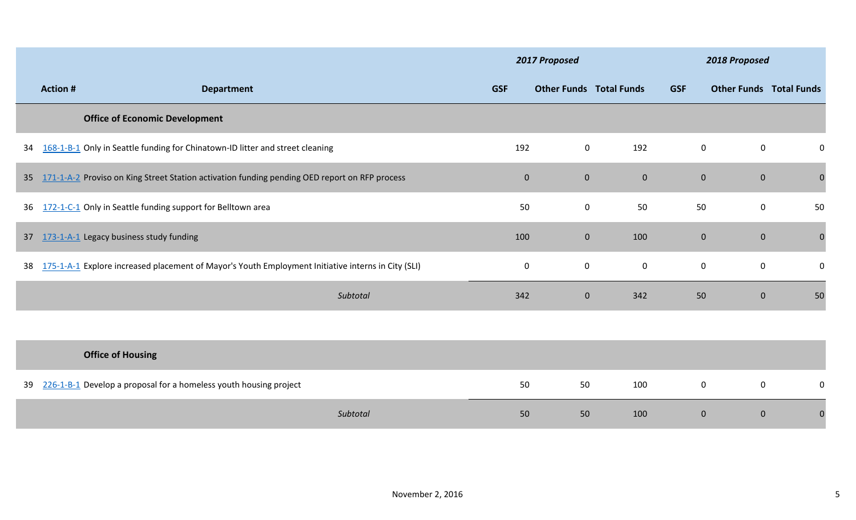|    |                 |                                                                                                    | 2017 Proposed |                                |                |                  | 2018 Proposed                  |             |
|----|-----------------|----------------------------------------------------------------------------------------------------|---------------|--------------------------------|----------------|------------------|--------------------------------|-------------|
|    | <b>Action #</b> | <b>Department</b>                                                                                  | <b>GSF</b>    | <b>Other Funds Total Funds</b> |                | <b>GSF</b>       | <b>Other Funds Total Funds</b> |             |
|    |                 | <b>Office of Economic Development</b>                                                              |               |                                |                |                  |                                |             |
| 34 |                 | 168-1-B-1 Only in Seattle funding for Chinatown-ID litter and street cleaning                      | 192           | $\mathbf 0$                    | 192            | $\boldsymbol{0}$ | $\mathbf 0$                    | 0           |
| 35 |                 | 171-1-A-2 Proviso on King Street Station activation funding pending OED report on RFP process      | $\mathbf{0}$  | $\mathbf 0$                    | $\overline{0}$ | $\overline{0}$   | $\overline{0}$                 | $\pmb{0}$   |
| 36 |                 | 172-1-C-1 Only in Seattle funding support for Belltown area                                        | 50            | $\mathbf 0$                    | 50             | 50               | 0                              | 50          |
| 37 |                 | 173-1-A-1 Legacy business study funding                                                            | 100           | $\mathbf{0}$                   | 100            | $\mathbf{0}$     | $\overline{0}$                 | $\mathbf 0$ |
| 38 |                 | 175-1-A-1 Explore increased placement of Mayor's Youth Employment Initiative interns in City (SLI) | $\mathbf 0$   | $\mathbf 0$                    | $\mathbf 0$    | $\boldsymbol{0}$ | $\mathbf 0$                    | 0           |
|    |                 | Subtotal                                                                                           | 342           | $\mathbf{0}$                   | 342            | 50               | $\overline{0}$                 | 50          |
|    |                 |                                                                                                    |               |                                |                |                  |                                |             |
|    |                 | <b>Office of Housing</b>                                                                           |               |                                |                |                  |                                |             |
| 39 |                 | 226-1-B-1 Develop a proposal for a homeless youth housing project                                  | 50            | 50                             | 100            | $\boldsymbol{0}$ | $\mathbf 0$                    | 0           |
|    |                 | Subtotal                                                                                           | 50            | 50                             | 100            | $\overline{0}$   | $\mathbf{0}$                   | $\Omega$    |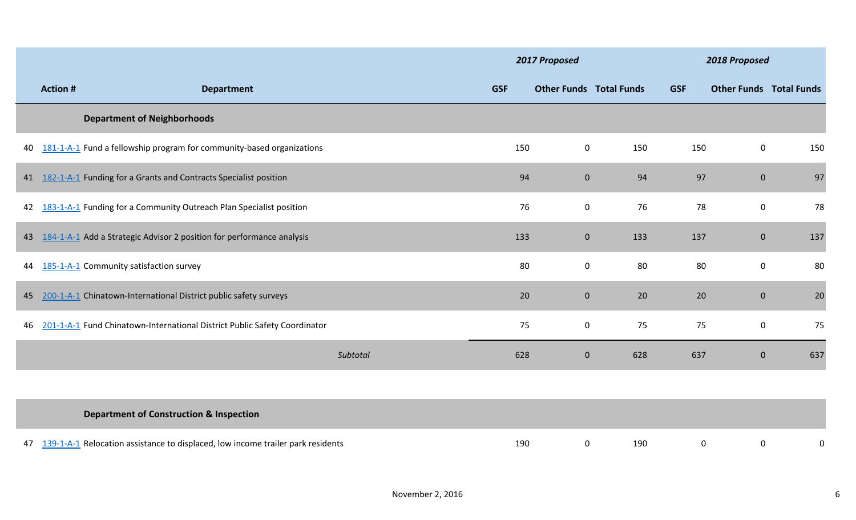|    |                |                                                                                 | 2017 Proposed |                                |     | 2018 Proposed |                                |     |  |
|----|----------------|---------------------------------------------------------------------------------|---------------|--------------------------------|-----|---------------|--------------------------------|-----|--|
|    | <b>Action#</b> | <b>Department</b>                                                               | <b>GSF</b>    | <b>Other Funds Total Funds</b> |     | <b>GSF</b>    | <b>Other Funds Total Funds</b> |     |  |
|    |                | <b>Department of Neighborhoods</b>                                              |               |                                |     |               |                                |     |  |
| 40 |                | 181-1-A-1 Fund a fellowship program for community-based organizations           | 150           | $\mathbf 0$                    | 150 | 150           | $\mathbf 0$                    | 150 |  |
|    |                | 41 182-1-A-1 Funding for a Grants and Contracts Specialist position             | 94            | $\overline{0}$                 | 94  | 97            | $\overline{0}$                 | 97  |  |
| 42 |                | 183-1-A-1 Funding for a Community Outreach Plan Specialist position             | 76            | $\mathbf 0$                    | 76  | 78            | $\mathbf{0}$                   | 78  |  |
| 43 |                | 184-1-A-1 Add a Strategic Advisor 2 position for performance analysis           | 133           | $\overline{0}$                 | 133 | 137           | $\mathbf{0}$                   | 137 |  |
| 44 |                | 185-1-A-1 Community satisfaction survey                                         | 80            | $\bf{0}$                       | 80  | 80            | $\mathbf{0}$                   | 80  |  |
| 45 |                | 200-1-A-1 Chinatown-International District public safety surveys                | 20            | $\mathbf{0}$                   | 20  | 20            | $\mathbf{0}$                   | 20  |  |
| 46 |                | 201-1-A-1 Fund Chinatown-International District Public Safety Coordinator       | 75            | $\mathbf 0$                    | 75  | 75            | $\mathbf 0$                    | 75  |  |
|    |                | Subtotal                                                                        | 628           | $\overline{0}$                 | 628 | 637           | $\mathbf{0}$                   | 637 |  |
|    |                |                                                                                 |               |                                |     |               |                                |     |  |
|    |                | <b>Department of Construction &amp; Inspection</b>                              |               |                                |     |               |                                |     |  |
| 47 |                | 139-1-A-1 Relocation assistance to displaced, low income trailer park residents | 190           | 0                              | 190 | $\mathbf 0$   | $\mathbf 0$                    | 0   |  |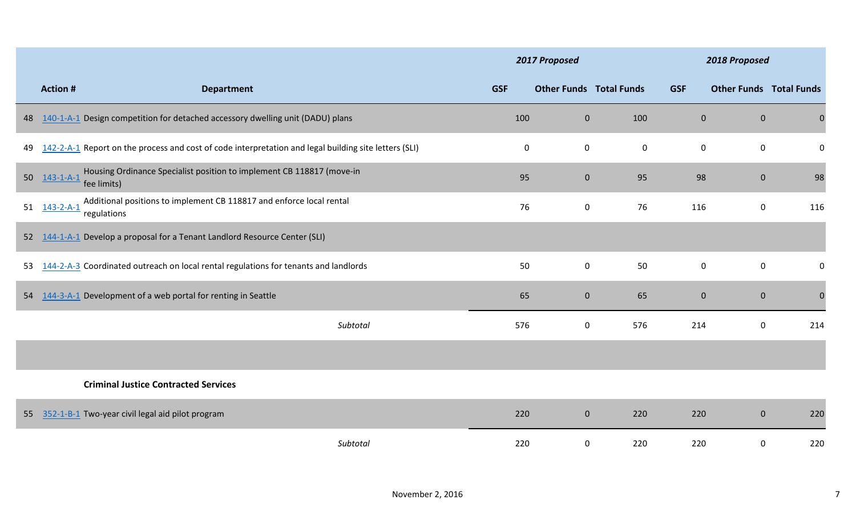|    |                                  |                                                                                                       |             | 2017 Proposed                  |             |                  | 2018 Proposed  |                                |
|----|----------------------------------|-------------------------------------------------------------------------------------------------------|-------------|--------------------------------|-------------|------------------|----------------|--------------------------------|
|    | <b>Action#</b>                   | <b>Department</b>                                                                                     | <b>GSF</b>  | <b>Other Funds Total Funds</b> |             | <b>GSF</b>       |                | <b>Other Funds Total Funds</b> |
| 48 |                                  | 140-1-A-1 Design competition for detached accessory dwelling unit (DADU) plans                        | 100         | $\mathbf 0$                    | 100         | $\mathbf{0}$     | $\overline{0}$ | $\mathbf{0}$                   |
| 49 |                                  | 142-2-A-1 Report on the process and cost of code interpretation and legal building site letters (SLI) | $\mathbf 0$ | $\mathbf 0$                    | $\mathbf 0$ | $\mathbf 0$      | $\mathbf 0$    | 0                              |
| 50 | $143 - 1 - A - 1$<br>fee limits) | Housing Ordinance Specialist position to implement CB 118817 (move-in                                 | 95          | $\mathbf 0$                    | 95          | 98               | $\overline{0}$ | 98                             |
| 51 | $143 - 2 - A - 1$<br>regulations | Additional positions to implement CB 118817 and enforce local rental                                  | 76          | $\mathbf 0$                    | 76          | 116              | 0              | 116                            |
| 52 |                                  | 144-1-A-1 Develop a proposal for a Tenant Landlord Resource Center (SLI)                              |             |                                |             |                  |                |                                |
| 53 |                                  | 144-2-A-3 Coordinated outreach on local rental regulations for tenants and landlords                  | 50          | $\mathbf 0$                    | 50          | $\boldsymbol{0}$ | $\mathbf 0$    | 0                              |
| 54 |                                  | 144-3-A-1 Development of a web portal for renting in Seattle                                          | 65          | $\mathbf 0$                    | 65          | $\overline{0}$   | $\overline{0}$ | $\mathbf 0$                    |
|    |                                  | Subtotal                                                                                              | 576         | $\boldsymbol{0}$               | 576         | 214              | 0              | 214                            |
|    |                                  |                                                                                                       |             |                                |             |                  |                |                                |
|    |                                  | <b>Criminal Justice Contracted Services</b>                                                           |             |                                |             |                  |                |                                |
| 55 |                                  | 352-1-B-1 Two-year civil legal aid pilot program                                                      | 220         | $\mathbf{0}$                   | 220         | 220              | $\overline{0}$ | 220                            |
|    |                                  | Subtotal                                                                                              | 220         | $\boldsymbol{0}$               | 220         | 220              | 0              | 220                            |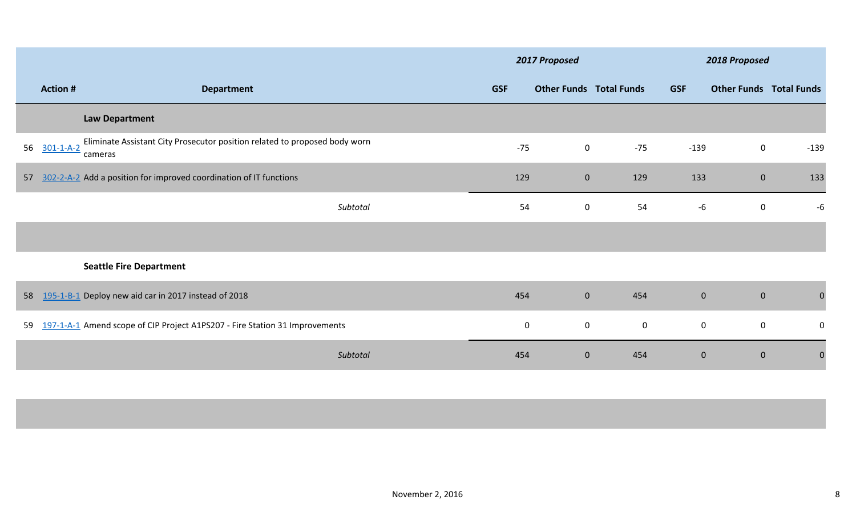|    |                   |                                                                                       | 2017 Proposed |                                |             | 2018 Proposed |                                |                |  |
|----|-------------------|---------------------------------------------------------------------------------------|---------------|--------------------------------|-------------|---------------|--------------------------------|----------------|--|
|    | <b>Action #</b>   | <b>Department</b>                                                                     | <b>GSF</b>    | <b>Other Funds Total Funds</b> |             | <b>GSF</b>    | <b>Other Funds Total Funds</b> |                |  |
|    |                   | <b>Law Department</b>                                                                 |               |                                |             |               |                                |                |  |
| 56 | $301 - 1 - A - 2$ | Eliminate Assistant City Prosecutor position related to proposed body worn<br>cameras | $-75$         | $\mathbf 0$                    | $-75$       | $-139$        | $\mathbf 0$                    | $-139$         |  |
| 57 |                   | 302-2-A-2 Add a position for improved coordination of IT functions                    | 129           | $\mathbf{0}$                   | 129         | 133           | $\mathbf{0}$                   | 133            |  |
|    |                   | Subtotal                                                                              | 54            | $\mathbf 0$                    | 54          | $-6$          | $\mathbf 0$                    | $-6$           |  |
|    |                   |                                                                                       |               |                                |             |               |                                |                |  |
|    |                   | <b>Seattle Fire Department</b>                                                        |               |                                |             |               |                                |                |  |
| 58 |                   | 195-1-B-1 Deploy new aid car in 2017 instead of 2018                                  | 454           | $\mathbf{0}$                   | 454         | $\mathbf{0}$  | $\mathbf{0}$                   | $\mathbf{0}$   |  |
| 59 |                   | 197-1-A-1 Amend scope of CIP Project A1PS207 - Fire Station 31 Improvements           | $\mathbf 0$   | $\mathbf 0$                    | $\mathbf 0$ | $\mathbf 0$   | $\mathbf 0$                    | $\mathbf 0$    |  |
|    |                   | Subtotal                                                                              | 454           | $\mathbf 0$                    | 454         | $\mathbf{0}$  | $\mathbf{0}$                   | $\overline{0}$ |  |
|    |                   |                                                                                       |               |                                |             |               |                                |                |  |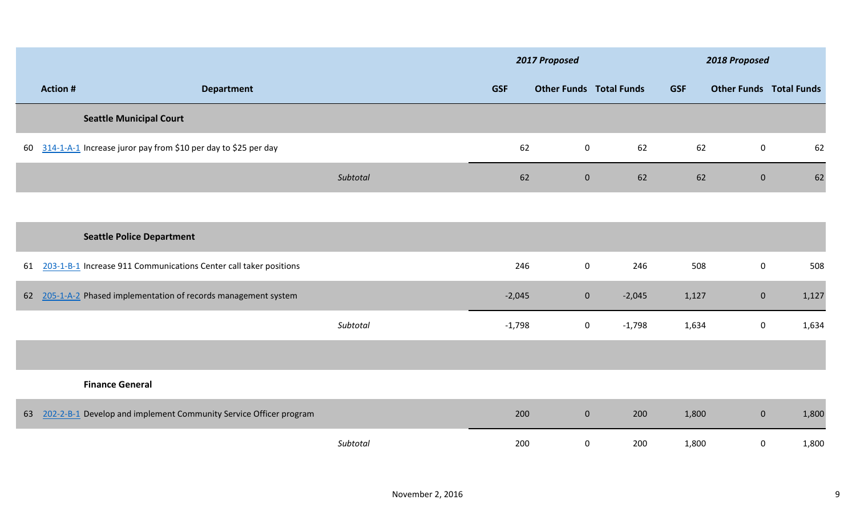|    |                |                                                                   |            | 2017 Proposed                  |          |            | 2018 Proposed                  |       |
|----|----------------|-------------------------------------------------------------------|------------|--------------------------------|----------|------------|--------------------------------|-------|
|    | <b>Action#</b> | <b>Department</b>                                                 | <b>GSF</b> | <b>Other Funds Total Funds</b> |          | <b>GSF</b> | <b>Other Funds Total Funds</b> |       |
|    |                | <b>Seattle Municipal Court</b>                                    |            |                                |          |            |                                |       |
| 60 |                | 314-1-A-1 Increase juror pay from \$10 per day to \$25 per day    | 62         | $\mathbf 0$                    | 62       | 62         | $\mathbf 0$                    | 62    |
|    |                | Subtotal                                                          | 62         | $\overline{0}$                 | 62       | 62         | $\overline{0}$                 | 62    |
|    |                |                                                                   |            |                                |          |            |                                |       |
|    |                | <b>Seattle Police Department</b>                                  |            |                                |          |            |                                |       |
| 61 |                | 203-1-B-1 Increase 911 Communications Center call taker positions | 246        | $\mathbf 0$                    | 246      | 508        | $\mathbf 0$                    | 508   |
|    |                | 62 205-1-A-2 Phased implementation of records management system   | $-2,045$   | $\mathbf{0}$                   | $-2,045$ | 1,127      | $\overline{0}$                 | 1,127 |
|    |                | Subtotal                                                          | $-1,798$   | $\mathbf 0$                    | $-1,798$ | 1,634      | 0                              | 1,634 |
|    |                |                                                                   |            |                                |          |            |                                |       |
|    |                | <b>Finance General</b>                                            |            |                                |          |            |                                |       |
| 63 |                | 202-2-B-1 Develop and implement Community Service Officer program | 200        | $\overline{0}$                 | 200      | 1,800      | $\overline{0}$                 | 1,800 |
|    |                | Subtotal                                                          | 200        | 0                              | 200      | 1,800      | 0                              | 1,800 |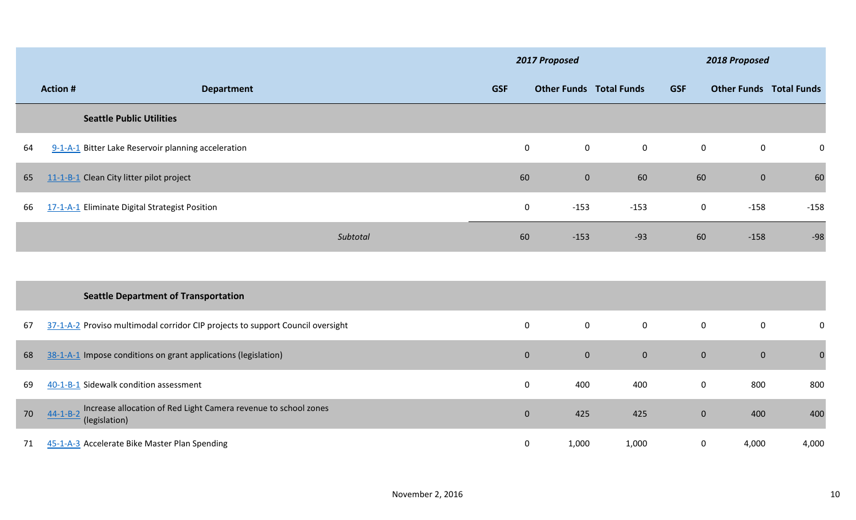|    |                |                                                                                  |                  | 2017 Proposed                  |                  |                  | 2018 Proposed                  |              |
|----|----------------|----------------------------------------------------------------------------------|------------------|--------------------------------|------------------|------------------|--------------------------------|--------------|
|    | <b>Action#</b> | <b>Department</b>                                                                | <b>GSF</b>       | <b>Other Funds Total Funds</b> |                  | <b>GSF</b>       | <b>Other Funds Total Funds</b> |              |
|    |                | <b>Seattle Public Utilities</b>                                                  |                  |                                |                  |                  |                                |              |
| 64 |                | 9-1-A-1 Bitter Lake Reservoir planning acceleration                              | $\boldsymbol{0}$ | $\mathbf 0$                    | $\mathbf 0$      | $\boldsymbol{0}$ | $\mathbf 0$                    | $\mathbf 0$  |
| 65 |                | 11-1-B-1 Clean City litter pilot project                                         | 60               | $\overline{0}$                 | 60               | 60               | $\mathbf{0}$                   | 60           |
| 66 |                | 17-1-A-1 Eliminate Digital Strategist Position                                   | $\mathbf 0$      | $-153$                         | $-153$           | $\bf{0}$         | $-158$                         | $-158$       |
|    |                | Subtotal                                                                         | 60               | $-153$                         | $-93$            | 60               | $-158$                         | $-98$        |
|    |                |                                                                                  |                  |                                |                  |                  |                                |              |
|    |                | <b>Seattle Department of Transportation</b>                                      |                  |                                |                  |                  |                                |              |
| 67 |                | 37-1-A-2 Proviso multimodal corridor CIP projects to support Council oversight   | $\boldsymbol{0}$ | $\boldsymbol{0}$               | $\overline{0}$   | $\mathbf 0$      | $\boldsymbol{0}$               | $\pmb{0}$    |
| 68 |                | 38-1-A-1 Impose conditions on grant applications (legislation)                   | $\bf{0}$         | $\mathbf{0}$                   | $\boldsymbol{0}$ | $\mathbf{0}$     | $\mathbf{0}$                   | $\mathbf{0}$ |
| 69 |                | 40-1-B-1 Sidewalk condition assessment                                           | $\boldsymbol{0}$ | 400                            | 400              | $\boldsymbol{0}$ | 800                            | 800          |
| 70 | $44-1 - B - 2$ | Increase allocation of Red Light Camera revenue to school zones<br>(legislation) | $\mathbf{0}$     | 425                            | 425              | $\mathbf{0}$     | 400                            | 400          |
| 71 |                | 45-1-A-3 Accelerate Bike Master Plan Spending                                    | $\mathbf 0$      | 1,000                          | 1,000            | $\mathbf 0$      | 4,000                          | 4,000        |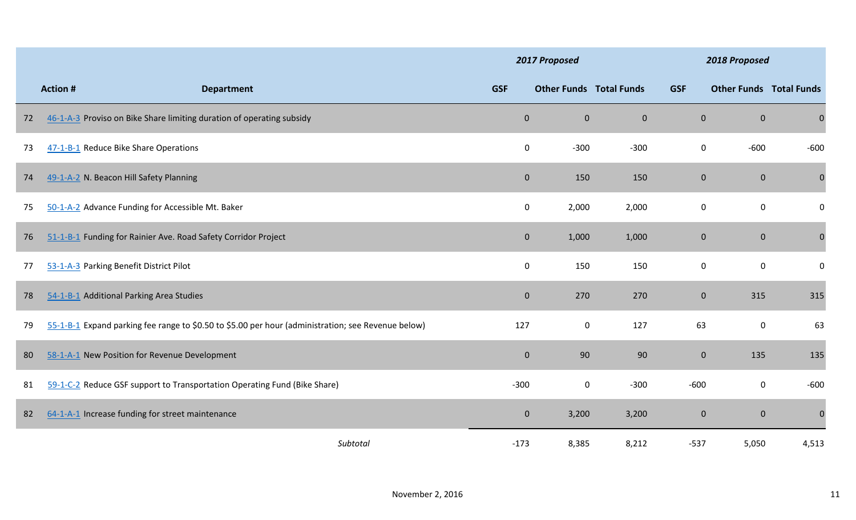|    |                                                                                                    |                | 2017 Proposed                  |                |              | 2018 Proposed  |                                |
|----|----------------------------------------------------------------------------------------------------|----------------|--------------------------------|----------------|--------------|----------------|--------------------------------|
|    | <b>Action#</b><br><b>Department</b>                                                                | <b>GSF</b>     | <b>Other Funds Total Funds</b> |                | <b>GSF</b>   |                | <b>Other Funds Total Funds</b> |
| 72 | 46-1-A-3 Proviso on Bike Share limiting duration of operating subsidy                              | $\overline{0}$ | $\bf 0$                        | $\overline{0}$ | $\mathbf{0}$ | $\mathbf{0}$   | $\boldsymbol{0}$               |
| 73 | 47-1-B-1 Reduce Bike Share Operations                                                              | 0              | $-300$                         | $-300$         | $\mathbf 0$  | $-600$         | $-600$                         |
| 74 | 49-1-A-2 N. Beacon Hill Safety Planning                                                            | $\overline{0}$ | 150                            | 150            | $\mathbf{0}$ | $\mathbf{0}$   | $\mathbf 0$                    |
| 75 | 50-1-A-2 Advance Funding for Accessible Mt. Baker                                                  | 0              | 2,000                          | 2,000          | 0            | $\mathbf 0$    | $\bf{0}$                       |
| 76 | 51-1-B-1 Funding for Rainier Ave. Road Safety Corridor Project                                     | $\mathbf 0$    | 1,000                          | 1,000          | $\bf 0$      | $\mathbf{0}$   | $\boldsymbol{0}$               |
| 77 | 53-1-A-3 Parking Benefit District Pilot                                                            | $\mathbf 0$    | 150                            | 150            | $\mathbf 0$  | $\mathbf 0$    | $\mathbf 0$                    |
| 78 | 54-1-B-1 Additional Parking Area Studies                                                           | $\overline{0}$ | 270                            | 270            | $\mathbf{0}$ | 315            | 315                            |
| 79 | 55-1-B-1 Expand parking fee range to \$0.50 to \$5.00 per hour (administration; see Revenue below) | 127            | $\boldsymbol{0}$               | 127            | 63           | $\mathbf 0$    | 63                             |
| 80 | 58-1-A-1 New Position for Revenue Development                                                      | $\overline{0}$ | 90                             | 90             | $\mathbf{0}$ | 135            | 135                            |
| 81 | 59-1-C-2 Reduce GSF support to Transportation Operating Fund (Bike Share)                          | $-300$         | $\mathbf 0$                    | $-300$         | $-600$       | $\bf{0}$       | $-600$                         |
| 82 | 64-1-A-1 Increase funding for street maintenance                                                   | $\mathbf{0}$   | 3,200                          | 3,200          | $\mathbf{0}$ | $\overline{0}$ | $\mathbf 0$                    |
|    | Subtotal                                                                                           | $-173$         | 8,385                          | 8,212          | $-537$       | 5,050          | 4,513                          |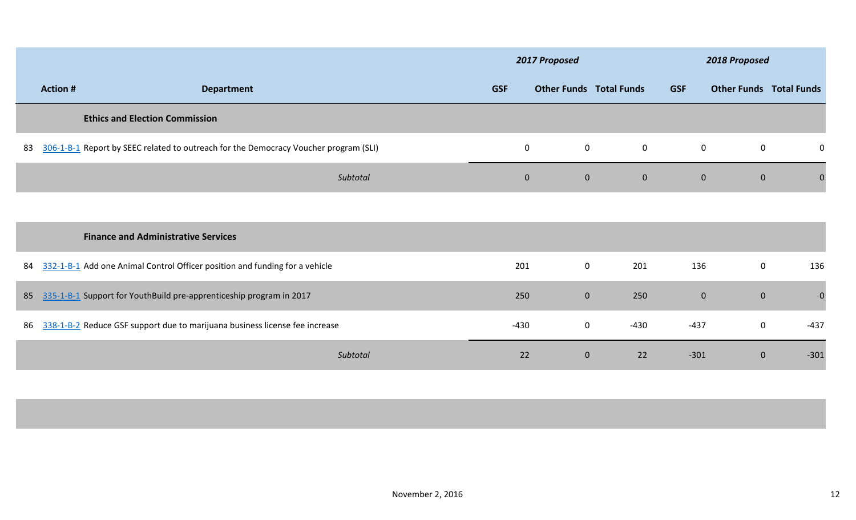|    |                 |                                                                                      | 2017 Proposed |                                |                | 2018 Proposed |                                |              |  |
|----|-----------------|--------------------------------------------------------------------------------------|---------------|--------------------------------|----------------|---------------|--------------------------------|--------------|--|
|    | <b>Action #</b> | <b>Department</b>                                                                    | <b>GSF</b>    | <b>Other Funds Total Funds</b> |                | <b>GSF</b>    | <b>Other Funds Total Funds</b> |              |  |
|    |                 | <b>Ethics and Election Commission</b>                                                |               |                                |                |               |                                |              |  |
| 83 |                 | 306-1-B-1 Report by SEEC related to outreach for the Democracy Voucher program (SLI) | $\mathbf 0$   | $\mathbf 0$                    | $\mathbf 0$    | $\mathbf 0$   | $\mathbf 0$                    | 0            |  |
|    |                 | Subtotal                                                                             | $\pmb{0}$     | $\mathbf{0}$                   | $\overline{0}$ | $\mathbf{0}$  | $\mathbf{0}$                   | $\mathbf{0}$ |  |
|    |                 |                                                                                      |               |                                |                |               |                                |              |  |
|    |                 | <b>Finance and Administrative Services</b>                                           |               |                                |                |               |                                |              |  |
| 84 |                 | 332-1-B-1 Add one Animal Control Officer position and funding for a vehicle          | 201           | $\mathbf 0$                    | 201            | 136           | $\mathbf 0$                    | 136          |  |
| 85 |                 | 335-1-B-1 Support for YouthBuild pre-apprenticeship program in 2017                  | 250           | $\mathbf{0}$                   | 250            | $\mathbf 0$   | $\mathbf{0}$                   | $\mathbf 0$  |  |
| 86 |                 | 338-1-B-2 Reduce GSF support due to marijuana business license fee increase          | $-430$        | $\mathbf 0$                    | $-430$         | $-437$        | $\mathbf 0$                    | $-437$       |  |
|    |                 | Subtotal                                                                             | 22            | $\mathbf{0}$                   | 22             | $-301$        | $\mathbf{0}$                   | $-301$       |  |
|    |                 |                                                                                      |               |                                |                |               |                                |              |  |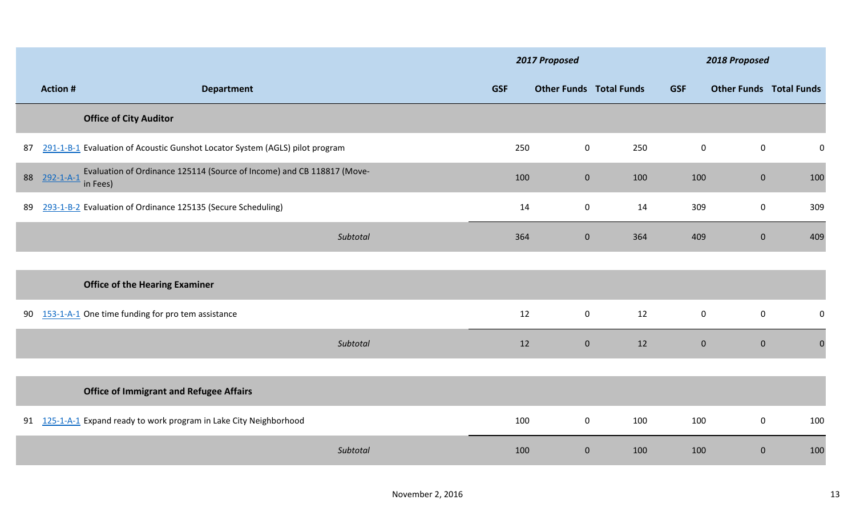|    |                   |                                                                                    | 2017 Proposed |                                |     | 2018 Proposed |                                |             |
|----|-------------------|------------------------------------------------------------------------------------|---------------|--------------------------------|-----|---------------|--------------------------------|-------------|
|    | <b>Action#</b>    | <b>Department</b>                                                                  | <b>GSF</b>    | <b>Other Funds Total Funds</b> |     | <b>GSF</b>    | <b>Other Funds Total Funds</b> |             |
|    |                   | <b>Office of City Auditor</b>                                                      |               |                                |     |               |                                |             |
| 87 |                   | 291-1-B-1 Evaluation of Acoustic Gunshot Locator System (AGLS) pilot program       | 250           | $\boldsymbol{0}$               | 250 | $\mathbf 0$   | $\mathbf 0$                    | $\pmb{0}$   |
| 88 | $292 - 1 - A - 1$ | Evaluation of Ordinance 125114 (Source of Income) and CB 118817 (Move-<br>in Fees) | 100           | $\mathbf{0}$                   | 100 | 100           | $\mathbf{0}$                   | 100         |
| 89 |                   | 293-1-B-2 Evaluation of Ordinance 125135 (Secure Scheduling)                       | 14            | $\mathbf 0$                    | 14  | 309           | $\mathbf 0$                    | 309         |
|    |                   | Subtotal                                                                           | 364           | $\overline{0}$                 | 364 | 409           | $\overline{0}$                 | 409         |
|    |                   | <b>Office of the Hearing Examiner</b>                                              |               |                                |     |               |                                |             |
| 90 |                   | 153-1-A-1 One time funding for pro tem assistance                                  | 12            | $\mathbf 0$                    | 12  | $\mathbf 0$   | $\mathbf 0$                    | $\mathbf 0$ |
|    |                   | Subtotal                                                                           | 12            | $\mathbf{0}$                   | 12  | $\mathbf{0}$  | $\mathbf{0}$                   | $\pmb{0}$   |
|    |                   | <b>Office of Immigrant and Refugee Affairs</b>                                     |               |                                |     |               |                                |             |
|    |                   | 91 125-1-A-1 Expand ready to work program in Lake City Neighborhood                | 100           | $\mathbf 0$                    | 100 | 100           | $\mathbf 0$                    | 100         |
|    |                   | Subtotal                                                                           | 100           | $\mathbf{0}$                   | 100 | 100           | $\mathbf{0}$                   | 100         |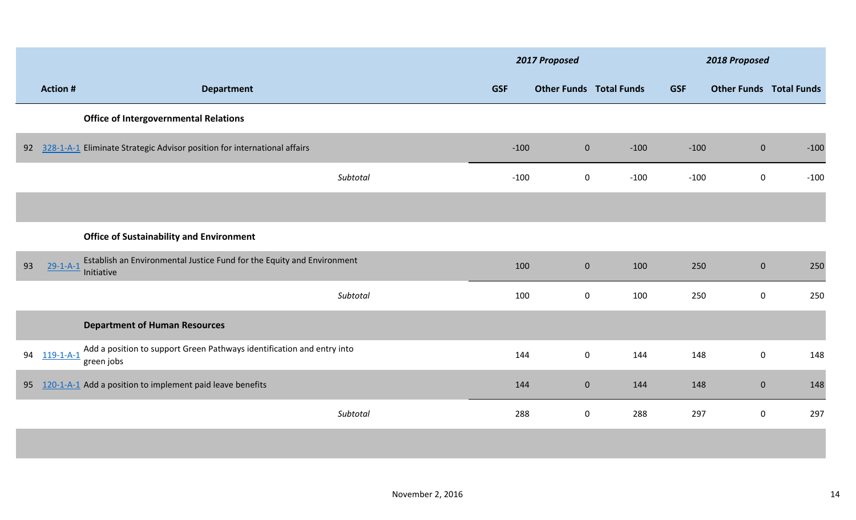|    |                   |                                                                                      |          | 2017 Proposed |                                |        |            | 2018 Proposed                  |        |  |
|----|-------------------|--------------------------------------------------------------------------------------|----------|---------------|--------------------------------|--------|------------|--------------------------------|--------|--|
|    | <b>Action#</b>    | <b>Department</b>                                                                    |          | <b>GSF</b>    | <b>Other Funds Total Funds</b> |        | <b>GSF</b> | <b>Other Funds Total Funds</b> |        |  |
|    |                   | <b>Office of Intergovernmental Relations</b>                                         |          |               |                                |        |            |                                |        |  |
|    |                   | 92 328-1-A-1 Eliminate Strategic Advisor position for international affairs          |          | $-100$        | $\mathbf 0$                    | $-100$ | $-100$     | $\mathbf{0}$                   | $-100$ |  |
|    |                   |                                                                                      | Subtotal | $-100$        | $\mathbf 0$                    | $-100$ | $-100$     | $\mathbf 0$                    | $-100$ |  |
|    |                   |                                                                                      |          |               |                                |        |            |                                |        |  |
|    |                   | <b>Office of Sustainability and Environment</b>                                      |          |               |                                |        |            |                                |        |  |
| 93 | $29 - 1 - A - 1$  | Establish an Environmental Justice Fund for the Equity and Environment<br>Initiative |          | 100           | $\mathbf 0$                    | 100    | 250        | $\mathbf{0}$                   | 250    |  |
|    |                   |                                                                                      | Subtotal | 100           | $\boldsymbol{0}$               | 100    | 250        | $\mathbf 0$                    | 250    |  |
|    |                   | <b>Department of Human Resources</b>                                                 |          |               |                                |        |            |                                |        |  |
| 94 | $119 - 1 - A - 1$ | Add a position to support Green Pathways identification and entry into<br>green jobs |          | 144           | $\mathbf 0$                    | 144    | 148        | $\mathbf 0$                    | 148    |  |
| 95 |                   | 120-1-A-1 Add a position to implement paid leave benefits                            |          | 144           | $\mathbf 0$                    | 144    | 148        | $\mathbf{0}$                   | 148    |  |
|    |                   |                                                                                      | Subtotal | 288           | $\boldsymbol{0}$               | 288    | 297        | $\mathbf 0$                    | 297    |  |
|    |                   |                                                                                      |          |               |                                |        |            |                                |        |  |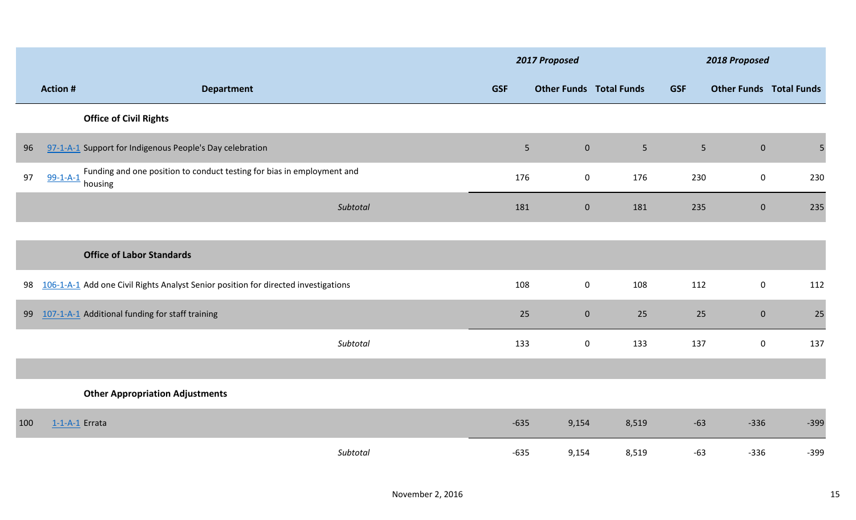|     |                  |                                                                                    | 2017 Proposed  |                                |                | 2018 Proposed  |                |                                |
|-----|------------------|------------------------------------------------------------------------------------|----------------|--------------------------------|----------------|----------------|----------------|--------------------------------|
|     | <b>Action#</b>   | <b>Department</b>                                                                  | <b>GSF</b>     | <b>Other Funds Total Funds</b> |                | <b>GSF</b>     |                | <b>Other Funds Total Funds</b> |
|     |                  | <b>Office of Civil Rights</b>                                                      |                |                                |                |                |                |                                |
| 96  |                  | 97-1-A-1 Support for Indigenous People's Day celebration                           | 5 <sub>1</sub> | $\bf 0$                        | 5 <sub>1</sub> | 5 <sup>1</sup> | $\overline{0}$ | 5                              |
| 97  | $99 - 1 - A - 1$ | Funding and one position to conduct testing for bias in employment and<br>housing  | 176            | $\mathbf 0$                    | 176            | 230            | $\mathbf 0$    | 230                            |
|     |                  | Subtotal                                                                           | 181            | $\mathbf 0$                    | 181            | 235            | $\overline{0}$ | 235                            |
|     |                  |                                                                                    |                |                                |                |                |                |                                |
|     |                  | <b>Office of Labor Standards</b>                                                   |                |                                |                |                |                |                                |
| 98  |                  | 106-1-A-1 Add one Civil Rights Analyst Senior position for directed investigations | 108            | $\boldsymbol{0}$               | 108            | 112            | $\mathbf 0$    | 112                            |
| 99  |                  | 107-1-A-1 Additional funding for staff training                                    | 25             | $\mathbf{0}$                   | 25             | 25             | $\overline{0}$ | 25                             |
|     |                  | Subtotal                                                                           | 133            | $\boldsymbol{0}$               | 133            | 137            | $\mathbf 0$    | 137                            |
|     |                  |                                                                                    |                |                                |                |                |                |                                |
|     |                  | <b>Other Appropriation Adjustments</b>                                             |                |                                |                |                |                |                                |
| 100 | $1-1-A-1$ Errata |                                                                                    | $-635$         | 9,154                          | 8,519          | $-63$          | $-336$         | $-399$                         |
|     |                  | Subtotal                                                                           | $-635$         | 9,154                          | 8,519          | $-63$          | $-336$         | $-399$                         |